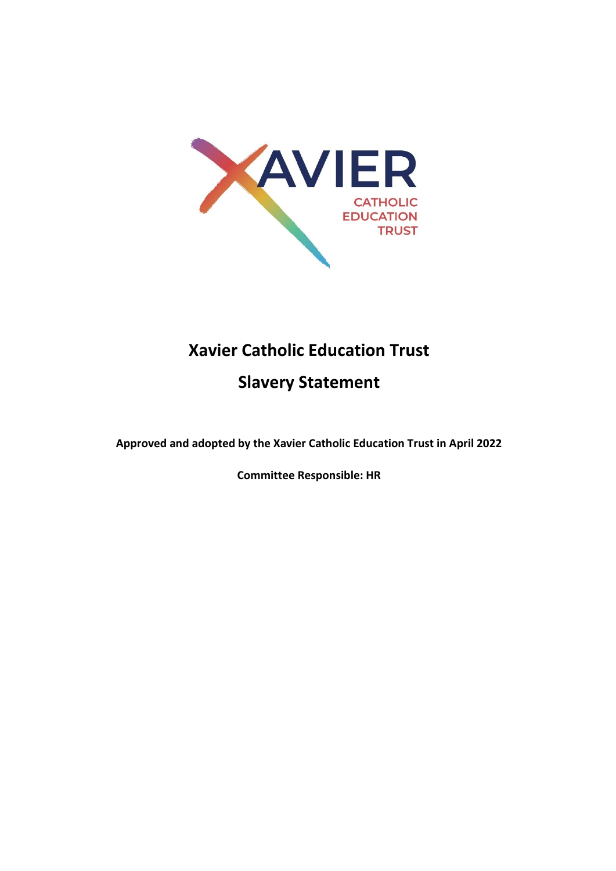

# **Xavier Catholic Education Trust**

**Slavery Statement**

**Approved and adopted by the Xavier Catholic Education Trust in April 2022** 

**Committee Responsible: HR**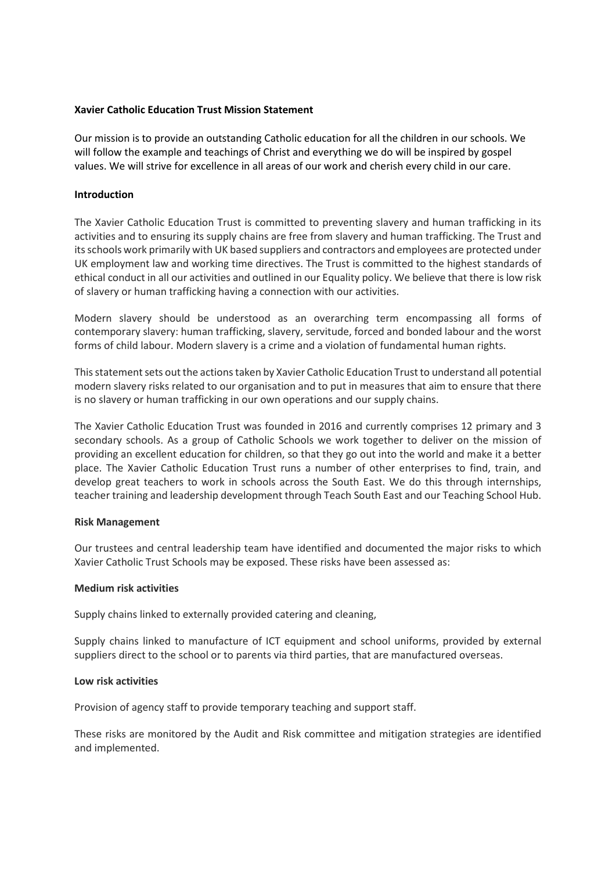## **Xavier Catholic Education Trust Mission Statement**

Our mission is to provide an outstanding Catholic education for all the children in our schools. We will follow the example and teachings of Christ and everything we do will be inspired by gospel values. We will strive for excellence in all areas of our work and cherish every child in our care.

### **Introduction**

The Xavier Catholic Education Trust is committed to preventing slavery and human trafficking in its activities and to ensuring its supply chains are free from slavery and human trafficking. The Trust and its schools work primarily with UK based suppliers and contractors and employees are protected under UK employment law and working time directives. The Trust is committed to the highest standards of ethical conduct in all our activities and outlined in our Equality policy. We believe that there is low risk of slavery or human trafficking having a connection with our activities.

Modern slavery should be understood as an overarching term encompassing all forms of contemporary slavery: human trafficking, slavery, servitude, forced and bonded labour and the worst forms of child labour. Modern slavery is a crime and a violation of fundamental human rights.

This statement sets out the actions taken by Xavier Catholic Education Trust to understand all potential modern slavery risks related to our organisation and to put in measures that aim to ensure that there is no slavery or human trafficking in our own operations and our supply chains.

The Xavier Catholic Education Trust was founded in 2016 and currently comprises 12 primary and 3 secondary schools. As a group of Catholic Schools we work together to deliver on the mission of providing an excellent education for children, so that they go out into the world and make it a better place. The Xavier Catholic Education Trust runs a number of other enterprises to find, train, and develop great teachers to work in schools across the South East. We do this through internships, teacher training and leadership development through Teach South East and our Teaching School Hub.

#### **Risk Management**

Our trustees and central leadership team have identified and documented the major risks to which Xavier Catholic Trust Schools may be exposed. These risks have been assessed as:

## **Medium risk activities**

Supply chains linked to externally provided catering and cleaning,

Supply chains linked to manufacture of ICT equipment and school uniforms, provided by external suppliers direct to the school or to parents via third parties, that are manufactured overseas.

#### **Low risk activities**

Provision of agency staff to provide temporary teaching and support staff.

These risks are monitored by the Audit and Risk committee and mitigation strategies are identified and implemented.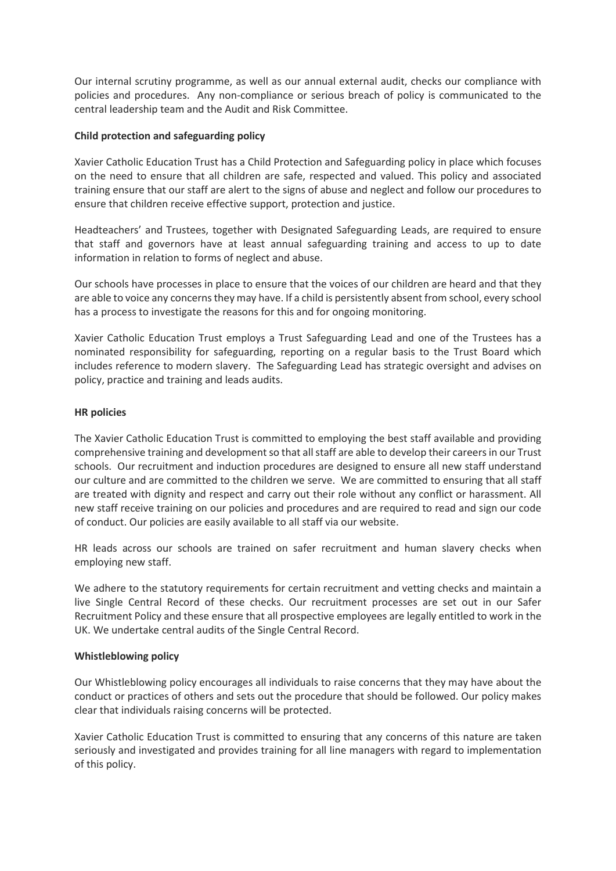Our internal scrutiny programme, as well as our annual external audit, checks our compliance with policies and procedures. Any non-compliance or serious breach of policy is communicated to the central leadership team and the Audit and Risk Committee.

# **Child protection and safeguarding policy**

Xavier Catholic Education Trust has a Child Protection and Safeguarding policy in place which focuses on the need to ensure that all children are safe, respected and valued. This policy and associated training ensure that our staff are alert to the signs of abuse and neglect and follow our procedures to ensure that children receive effective support, protection and justice.

Headteachers' and Trustees, together with Designated Safeguarding Leads, are required to ensure that staff and governors have at least annual safeguarding training and access to up to date information in relation to forms of neglect and abuse.

Our schools have processes in place to ensure that the voices of our children are heard and that they are able to voice any concerns they may have. If a child is persistently absent from school, every school has a process to investigate the reasons for this and for ongoing monitoring.

Xavier Catholic Education Trust employs a Trust Safeguarding Lead and one of the Trustees has a nominated responsibility for safeguarding, reporting on a regular basis to the Trust Board which includes reference to modern slavery. The Safeguarding Lead has strategic oversight and advises on policy, practice and training and leads audits.

# **HR policies**

The Xavier Catholic Education Trust is committed to employing the best staff available and providing comprehensive training and development so that all staff are able to develop their careers in our Trust schools. Our recruitment and induction procedures are designed to ensure all new staff understand our culture and are committed to the children we serve. We are committed to ensuring that all staff are treated with dignity and respect and carry out their role without any conflict or harassment. All new staff receive training on our policies and procedures and are required to read and sign our code of conduct. Our policies are easily available to all staff via our website.

HR leads across our schools are trained on safer recruitment and human slavery checks when employing new staff.

We adhere to the statutory requirements for certain recruitment and vetting checks and maintain a live Single Central Record of these checks. Our recruitment processes are set out in our Safer Recruitment Policy and these ensure that all prospective employees are legally entitled to work in the UK. We undertake central audits of the Single Central Record.

# **Whistleblowing policy**

Our Whistleblowing policy encourages all individuals to raise concerns that they may have about the conduct or practices of others and sets out the procedure that should be followed. Our policy makes clear that individuals raising concerns will be protected.

Xavier Catholic Education Trust is committed to ensuring that any concerns of this nature are taken seriously and investigated and provides training for all line managers with regard to implementation of this policy.